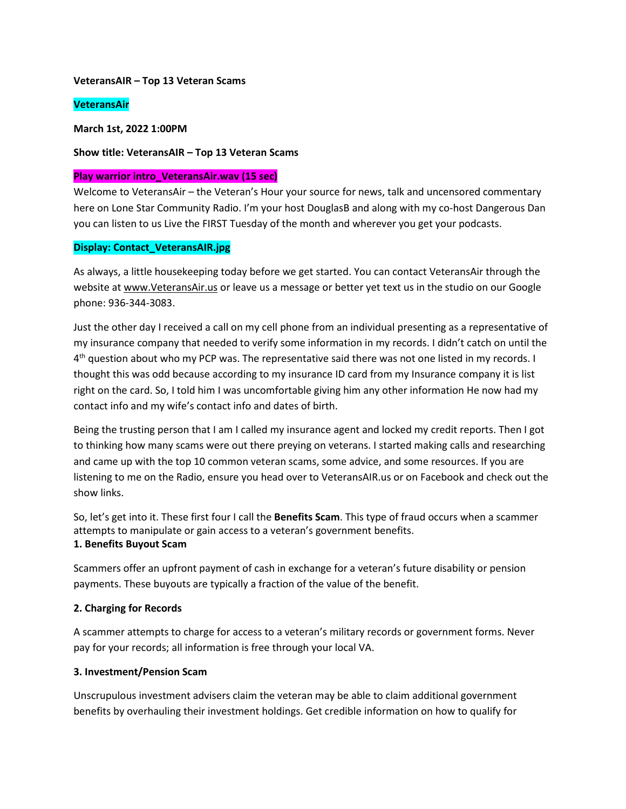#### **VeteransAIR – Top 13 Veteran Scams**

#### **VeteransAir**

**March 1st, 2022 1:00PM** 

#### **Show title: VeteransAIR – Top 13 Veteran Scams**

#### **Play warrior intro\_VeteransAir.wav (15 sec)**

Welcome to VeteransAir – the Veteran's Hour your source for news, talk and uncensored commentary here on Lone Star Community Radio. I'm your host DouglasB and along with my co-host Dangerous Dan you can listen to us Live the FIRST Tuesday of the month and wherever you get your podcasts.

#### **Display: Contact\_VeteransAIR.jpg**

As always, a little housekeeping today before we get started. You can contact VeteransAir through the website at [www.VeteransAir.us](http://www.veteransair.us/) or leave us a message or better yet text us in the studio on our Google phone: 936-344-3083.

Just the other day I received a call on my cell phone from an individual presenting as a representative of my insurance company that needed to verify some information in my records. I didn't catch on until the 4<sup>th</sup> question about who my PCP was. The representative said there was not one listed in my records. I thought this was odd because according to my insurance ID card from my Insurance company it is list right on the card. So, I told him I was uncomfortable giving him any other information He now had my contact info and my wife's contact info and dates of birth.

Being the trusting person that I am I called my insurance agent and locked my credit reports. Then I got to thinking how many scams were out there preying on veterans. I started making calls and researching and came up with the top 10 common veteran scams, some advice, and some resources. If you are listening to me on the Radio, ensure you head over to VeteransAIR.us or on Facebook and check out the show links.

So, let's get into it. These first four I call the **Benefits Scam**. This type of fraud occurs when a scammer attempts to manipulate or gain access to a veteran's government benefits. **1. Benefits Buyout Scam**

Scammers offer an upfront payment of cash in exchange for a veteran's future disability or pension payments. These buyouts are typically a fraction of the value of the benefit.

#### **2. Charging for Records**

A scammer attempts to charge for access to a veteran's military records or government forms. Never pay for your records; all information is free through your local VA.

#### **3. Investment/Pension Scam**

Unscrupulous investment advisers claim the veteran may be able to claim additional government benefits by overhauling their investment holdings. Get credible information on how to qualify for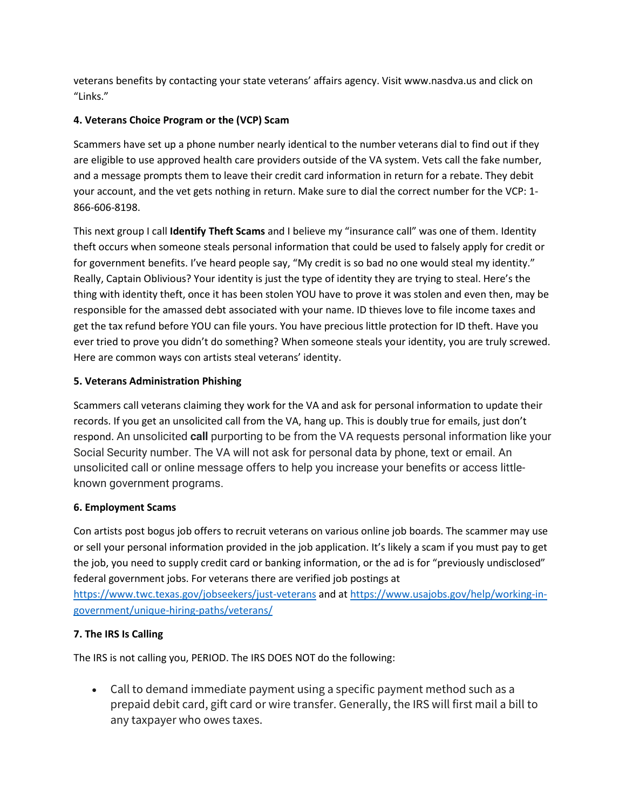veterans benefits by contacting your state veterans' affairs agency. Visit www.nasdva.us and click on "Links."

# **4. Veterans Choice Program or the (VCP) Scam**

Scammers have set up a phone number nearly identical to the number veterans dial to find out if they are eligible to use approved health care providers outside of the VA system. Vets call the fake number, and a message prompts them to leave their credit card information in return for a rebate. They debit your account, and the vet gets nothing in return. Make sure to dial the correct number for the VCP: 1- 866-606-8198.

This next group I call **Identify Theft Scams** and I believe my "insurance call" was one of them. Identity theft occurs when someone steals personal information that could be used to falsely apply for credit or for government benefits. I've heard people say, "My credit is so bad no one would steal my identity." Really, Captain Oblivious? Your identity is just the type of identity they are trying to steal. Here's the thing with identity theft, once it has been stolen YOU have to prove it was stolen and even then, may be responsible for the amassed debt associated with your name. ID thieves love to file income taxes and get the tax refund before YOU can file yours. You have precious little protection for ID theft. Have you ever tried to prove you didn't do something? When someone steals your identity, you are truly screwed. Here are common ways con artists steal veterans' identity.

## **5. Veterans Administration Phishing**

Scammers call veterans claiming they work for the VA and ask for personal information to update their records. If you get an unsolicited call from the VA, hang up. This is doubly true for emails, just don't respond. An unsolicited **call** purporting to be from the VA requests personal information like your Social Security number. The VA will not ask for personal data by phone, text or email. An unsolicited call or online message offers to help you increase your benefits or access littleknown government programs.

# **6. Employment Scams**

Con artists post bogus job offers to recruit veterans on various online job boards. The scammer may use or sell your personal information provided in the job application. It's likely a scam if you must pay to get the job, you need to supply credit card or banking information, or the ad is for "previously undisclosed" federal government jobs. For veterans there are verified job postings at

<https://www.twc.texas.gov/jobseekers/just-veterans> and a[t https://www.usajobs.gov/help/working-in](https://www.usajobs.gov/help/working-in-government/unique-hiring-paths/veterans/)[government/unique-hiring-paths/veterans/](https://www.usajobs.gov/help/working-in-government/unique-hiring-paths/veterans/)

# **7. The IRS Is Calling**

The IRS is not calling you, PERIOD. The IRS DOES NOT do the following:

• Call to demand immediate payment using a specific payment method such as a prepaid debit card, gift card or wire transfer. Generally, the IRS will first mail a bill to any taxpayer who owes taxes.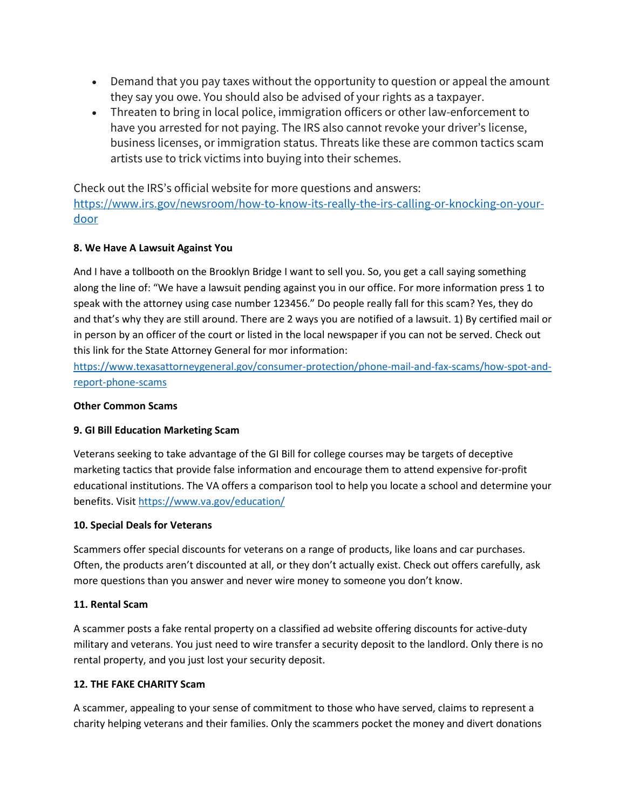- Demand that you pay taxes without the opportunity to question or appeal the amount they say you owe. You should also be advised of your rights as a taxpayer.
- Threaten to bring in local police, immigration officers or other law-enforcement to have you arrested for not paying. The IRS also cannot revoke your driver's license, business licenses, or immigration status. Threats like these are common tactics scam artists use to trick victims into buying into their schemes.

Check out the IRS's official website for more questions and answers: [https://www.irs.gov/newsroom/how-to-know-its-really-the-irs-calling-or-knocking-on-your](https://www.irs.gov/newsroom/how-to-know-its-really-the-irs-calling-or-knocking-on-your-door)[door](https://www.irs.gov/newsroom/how-to-know-its-really-the-irs-calling-or-knocking-on-your-door)

## **8. We Have A Lawsuit Against You**

And I have a tollbooth on the Brooklyn Bridge I want to sell you. So, you get a call saying something along the line of: "We have a lawsuit pending against you in our office. For more information press 1 to speak with the attorney using case number 123456." Do people really fall for this scam? Yes, they do and that's why they are still around. There are 2 ways you are notified of a lawsuit. 1) By certified mail or in person by an officer of the court or listed in the local newspaper if you can not be served. Check out this link for the State Attorney General for mor information:

[https://www.texasattorneygeneral.gov/consumer-protection/phone-mail-and-fax-scams/how-spot-and](https://www.texasattorneygeneral.gov/consumer-protection/phone-mail-and-fax-scams/how-spot-and-report-phone-scams)[report-phone-scams](https://www.texasattorneygeneral.gov/consumer-protection/phone-mail-and-fax-scams/how-spot-and-report-phone-scams)

#### **Other Common Scams**

## **9. GI Bill Education Marketing Scam**

Veterans seeking to take advantage of the GI Bill for college courses may be targets of deceptive marketing tactics that provide false information and encourage them to attend expensive for-profit educational institutions. The VA offers a comparison tool to help you locate a school and determine your benefits. Visi[t https://www.va.gov/education/](https://www.va.gov/education/)

#### **10. Special Deals for Veterans**

Scammers offer special discounts for veterans on a range of products, like loans and car purchases. Often, the products aren't discounted at all, or they don't actually exist. Check out offers carefully, ask more questions than you answer and never wire money to someone you don't know.

#### **11. Rental Scam**

A scammer posts a fake rental property on a classified ad website offering discounts for active-duty military and veterans. You just need to wire transfer a security deposit to the landlord. Only there is no rental property, and you just lost your security deposit.

#### **12. THE FAKE CHARITY Scam**

A scammer, appealing to your sense of commitment to those who have served, claims to represent a charity helping veterans and their families. Only the scammers pocket the money and divert donations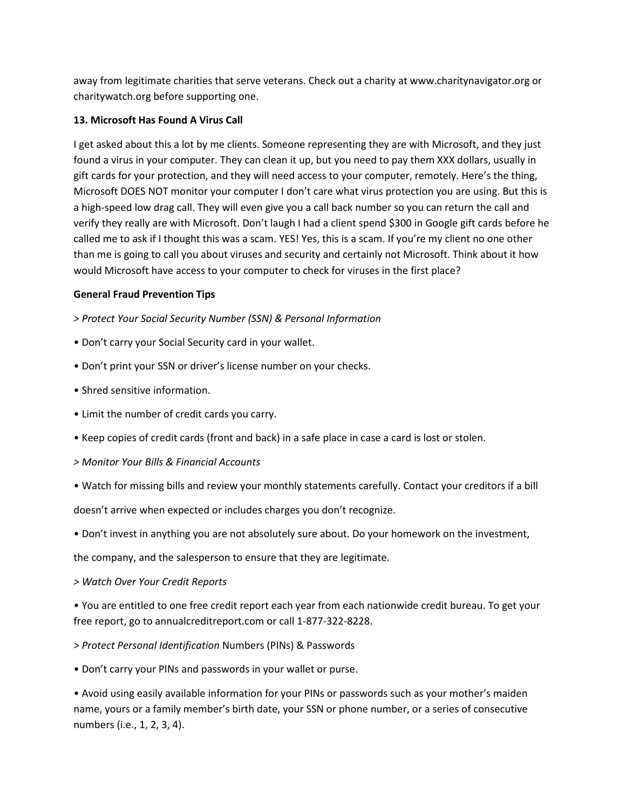away from legitimate charities that serve veterans. Check out a charity at www.charitynavigator.org or charitywatch.org before supporting one.

## **13. Microsoft Has Found A Virus Call**

I get asked about this a lot by me clients. Someone representing they are with Microsoft, and they just found a virus in your computer. They can clean it up, but you need to pay them XXX dollars, usually in gift cards for your protection, and they will need access to your computer, remotely. Here's the thing, Microsoft DOES NOT monitor your computer I don't care what virus protection you are using. But this is a high-speed low drag call. They will even give you a call back number so you can return the call and verify they really are with Microsoft. Don't laugh I had a client spend \$300 in Google gift cards before he called me to ask if I thought this was a scam. YES! Yes, this is a scam. If you're my client no one other than me is going to call you about viruses and security and certainly not Microsoft. Think about it how would Microsoft have access to your computer to check for viruses in the first place?

### **General Fraud Prevention Tips**

- *> Protect Your Social Security Number (SSN) & Personal Information*
- Don't carry your Social Security card in your wallet.
- Don't print your SSN or driver's license number on your checks.
- Shred sensitive information.
- Limit the number of credit cards you carry.
- Keep copies of credit cards (front and back) in a safe place in case a card is lost or stolen.
- *> Monitor Your Bills & Financial Accounts*
- Watch for missing bills and review your monthly statements carefully. Contact your creditors if a bill doesn't arrive when expected or includes charges you don't recognize.
- Don't invest in anything you are not absolutely sure about. Do your homework on the investment,

the company, and the salesperson to ensure that they are legitimate.

*> Watch Over Your Credit Reports*

• You are entitled to one free credit report each year from each nationwide credit bureau. To get your free report, go to annualcreditreport.com or call 1-877-322-8228.

- *> Protect Personal Identification* Numbers (PINs) & Passwords
- Don't carry your PINs and passwords in your wallet or purse.

• Avoid using easily available information for your PINs or passwords such as your mother's maiden name, yours or a family member's birth date, your SSN or phone number, or a series of consecutive numbers (i.e., 1, 2, 3, 4).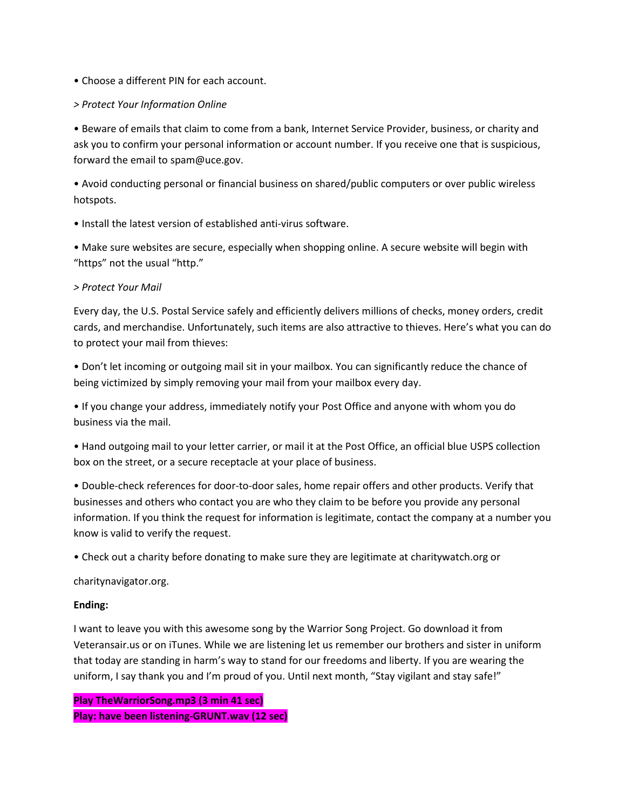#### • Choose a different PIN for each account.

### *> Protect Your Information Online*

• Beware of emails that claim to come from a bank, Internet Service Provider, business, or charity and ask you to confirm your personal information or account number. If you receive one that is suspicious, forward the email to spam@uce.gov.

• Avoid conducting personal or financial business on shared/public computers or over public wireless hotspots.

• Install the latest version of established anti-virus software.

• Make sure websites are secure, especially when shopping online. A secure website will begin with "https" not the usual "http."

### *> Protect Your Mail*

Every day, the U.S. Postal Service safely and efficiently delivers millions of checks, money orders, credit cards, and merchandise. Unfortunately, such items are also attractive to thieves. Here's what you can do to protect your mail from thieves:

• Don't let incoming or outgoing mail sit in your mailbox. You can significantly reduce the chance of being victimized by simply removing your mail from your mailbox every day.

• If you change your address, immediately notify your Post Office and anyone with whom you do business via the mail.

• Hand outgoing mail to your letter carrier, or mail it at the Post Office, an official blue USPS collection box on the street, or a secure receptacle at your place of business.

• Double-check references for door-to-door sales, home repair offers and other products. Verify that businesses and others who contact you are who they claim to be before you provide any personal information. If you think the request for information is legitimate, contact the company at a number you know is valid to verify the request.

• Check out a charity before donating to make sure they are legitimate at charitywatch.org or

charitynavigator.org.

## **Ending:**

I want to leave you with this awesome song by the Warrior Song Project. Go download it from Veteransair.us or on iTunes. While we are listening let us remember our brothers and sister in uniform that today are standing in harm's way to stand for our freedoms and liberty. If you are wearing the uniform, I say thank you and I'm proud of you. Until next month, "Stay vigilant and stay safe!"

**Play TheWarriorSong.mp3 (3 min 41 sec) Play: have been listening-GRUNT.wav (12 sec)**